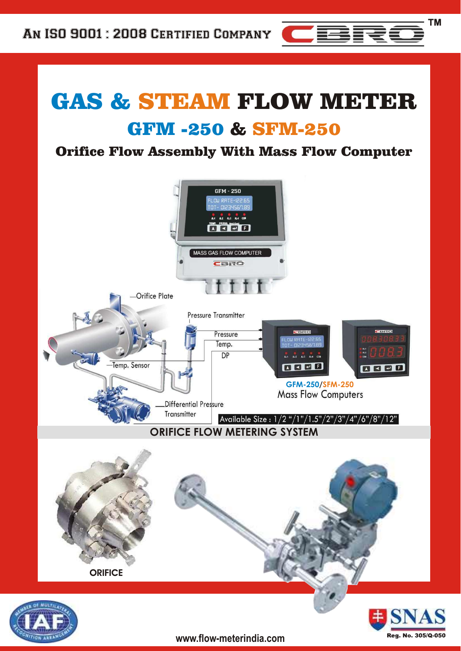# GAS & STEAM FLOW METER GFM -250 & SFM-250

 $\blacksquare$ 

Orifice Flow Assembly With Mass Flow Computer



**www.flow-meterindia.com**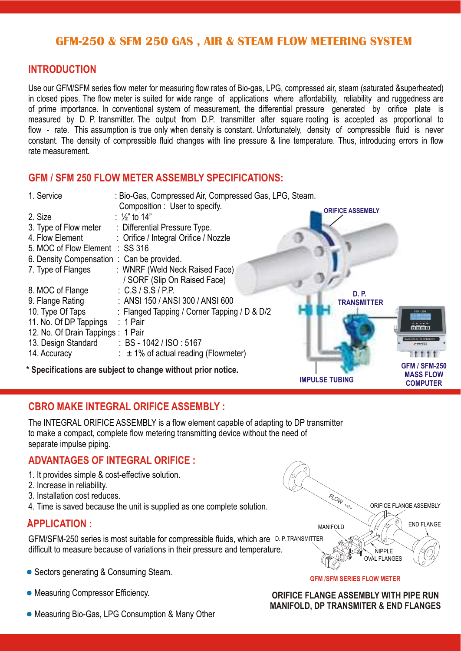#### **GFM-250 & SFM 250 GAS , AIR & STEAM FLOW METERING SYSTEM**

#### **INTRODUCTION**

Use our GFM/SFM series flow meter for measuring flow rates of Bio-gas, LPG, compressed air, steam (saturated &superheated) in closed pipes. The flow meter is suited for wide range of applications where affordability, reliability and ruggedness are of prime importance. In conventional system of measurement, the differential pressure generated by orifice plate is measured by D. P. transmitter. The output from D.P. transmitter after square rooting is accepted as proportional to flow - rate. This assumption is true only when density is constant. Unfortunately, density of compressible fluid is never constant. The density of compressible fluid changes with line pressure & line temperature. Thus, introducing errors in flow rate measurement.

#### **GFM / SFM 250 FLOW METER ASSEMBLY SPECIFICATIONS:**

| 1. Service                                | : Bio-Gas, Compressed Air, Compressed Gas, LPG, Steam.<br>Composition: User to specify. |                                          |
|-------------------------------------------|-----------------------------------------------------------------------------------------|------------------------------------------|
| 2. Size                                   | : $\frac{1}{2}$ to 14"                                                                  | <b>ORIFICE ASSEMBLY</b>                  |
| 3. Type of Flow meter                     | : Differential Pressure Type.                                                           |                                          |
| 4. Flow Element                           | : Orifice / Integral Orifice / Nozzle                                                   |                                          |
| 5. MOC of Flow Element : SS 316           |                                                                                         |                                          |
| 6. Density Compensation: Can be provided. |                                                                                         |                                          |
|                                           | 7. Type of Flanges : WNRF (Weld Neck Raised Face)                                       |                                          |
|                                           | / SORF (Slip On Raised Face)                                                            |                                          |
| 8. MOC of Flange                          | $\therefore$ C.S/S.S/P.P.                                                               | <b>D.P.</b>                              |
| 9. Flange Rating                          | : ANSI 150 / ANSI 300 / ANSI 600                                                        | <b>TRANSMITTER</b>                       |
| 10. Type Of Taps                          | : Flanged Tapping / Corner Tapping / D & D/2                                            | <b>GEM + 250</b>                         |
| 11. No. Of DP Tappings                    | $\therefore$ 1 Pair                                                                     | t di di di d<br><b>ARED</b>              |
| 12. No. Of Drain Tappings: 1 Pair         |                                                                                         |                                          |
|                                           | 13. Design Standard : BS - 1042 / ISO : 5167                                            | ASS GAS FLOW COMPU<br>chito              |
| 14. Accuracy                              | $\pm$ 1% of actual reading (Flowmeter)                                                  | $+++$                                    |
|                                           | * Specifications are subject to change without prior notice.                            | <b>GFM / SFM-250</b><br><b>MASS FLOW</b> |

**IMPULSE TUBING**

**MASS FLOW COMPUTER**

#### **CBRO MAKE INTEGRAL ORIFICE ASSEMBLY :**

The INTEGRAL ORIFICE ASSEMBLY is a flow element capable of adapting to DP transmitter to make a compact, complete flow metering transmitting device without the need of separate impulse piping.

#### **ADVANTAGES OF INTEGRAL ORIFICE :**

- 1. It provides simple & cost-effective solution.
- 2. Increase in reliability.
- 3. Installation cost reduces.
- 4. Time is saved because the unit is supplied as one complete solution.

#### **APPLICATION :** .

GFM/SFM-250 series is most suitable for compressible fluids, which are D. P. TRANSMITTER difficult to measure because of variations in their pressure and temperature.

- Sectors generating & Consuming Steam.
- Measuring Compressor Efficiency.
- Measuring Bio-Gas, LPG Consumption & Many Other



**GFM /SFM SERIES FLOW METER**

**ORIFICE FLANGE ASSEMBLY WITH PIPE RUN MANIFOLD, DP TRANSMITER & END FLANGES**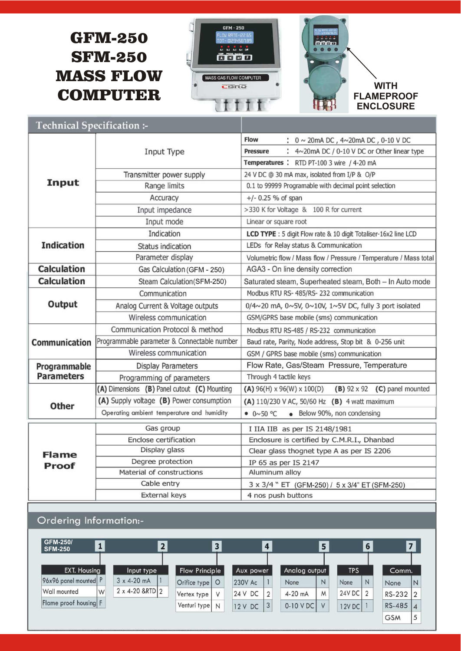## GFM-250 SFM-250 MASS FLOW **COMPUTER**





#### **WITH FLAMEPROOF ENCLOSURE**

|  | Technical Specification :- |
|--|----------------------------|
|--|----------------------------|

|                              |                                              | <b>Flow</b><br>: $0 \sim 20$ mA DC, $4 \sim 20$ mA DC, $0 - 10$ V DC        |  |  |
|------------------------------|----------------------------------------------|-----------------------------------------------------------------------------|--|--|
|                              | Input Type                                   | : 4~20mA DC / 0-10 V DC or Other linear type<br><b>Pressure</b>             |  |  |
|                              |                                              | Temperatures : RTD PT-100 3 wire / 4-20 mA                                  |  |  |
|                              | Transmitter power supply                     | 24 V DC @ 30 mA max, isolated from I/P & O/P                                |  |  |
| Input                        | Range limits                                 | 0.1 to 99999 Programable with decimal point selection                       |  |  |
|                              | Accuracy                                     | $+/- 0.25 %$ of span                                                        |  |  |
|                              | Input impedance                              | >330 K for Voltage & 100 R for current                                      |  |  |
|                              | Input mode                                   | Linear or square root                                                       |  |  |
|                              | Indication                                   | LCD TYPE : 5 digit Flow rate & 10 digit Totaliser-16x2 line LCD             |  |  |
| <b>Indication</b>            | <b>Status indication</b>                     | LEDs for Relay status & Communication                                       |  |  |
|                              | Parameter display                            | Volumetric flow / Mass flow / Pressure / Temperature / Mass total           |  |  |
| <b>Calculation</b>           | Gas Calculation (GFM - 250)                  | AGA3 - On line density correction                                           |  |  |
| <b>Calculation</b>           | Steam Calculation(SFM-250)                   | Saturated steam, Superheated steam, Both - In Auto mode                     |  |  |
| Output                       | Communication                                | Modbus RTU RS- 485/RS- 232 communication                                    |  |  |
|                              | Analog Current & Voltage outputs             | 0/4~20 mA, 0~5V, 0~10V, 1~5V DC, fully 3 port isolated                      |  |  |
|                              | Wireless communication                       | GSM/GPRS base mobile (sms) communication                                    |  |  |
|                              | Communication Protocol & method              | Modbus RTU RS-485 / RS-232 communication                                    |  |  |
| Communication                | Programmable parameter & Connectable number  | Baud rate, Parity, Node address, Stop bit & 0-256 unit                      |  |  |
|                              | Wireless communication                       | GSM / GPRS base mobile (sms) communication                                  |  |  |
| Programmable                 | <b>Display Parameters</b>                    | Flow Rate, Gas/Steam Pressure, Temperature                                  |  |  |
| <b>Parameters</b>            | Programming of parameters                    | Through 4 tactile keys                                                      |  |  |
|                              | (A) Dimensions (B) Panel cutout (C) Mounting | $(B)$ 92 x 92 $(C)$ panel mounted<br>(A) $96(H) \times 96(W) \times 100(D)$ |  |  |
| <b>Other</b>                 | (A) Supply voltage (B) Power consumption     | (A) 110/230 V AC, 50/60 Hz (B) 4 watt maximum                               |  |  |
|                              | Operating ambient temperature and humidity   | $0.50 \degree C$<br>· Below 90%, non condensing                             |  |  |
|                              | Gas group                                    | I IIA IIB as per IS 2148/1981                                               |  |  |
| <b>Flame</b><br><b>Proof</b> | Enclose certification                        | Enclosure is certified by C.M.R.I., Dhanbad                                 |  |  |
|                              | Display glass                                | Clear glass thognet type A as per IS 2206                                   |  |  |
|                              | Degree protection                            | IP 65 as per IS 2147                                                        |  |  |
|                              | Material of constructions                    | Aluminum alloy                                                              |  |  |
|                              | Cable entry                                  | 3 x 3/4 " ET (GFM-250) / 5 x 3/4" ET (SFM-250)                              |  |  |
|                              | <b>External keys</b>                         | 4 nos push buttons                                                          |  |  |

### **Ordering Information:-**